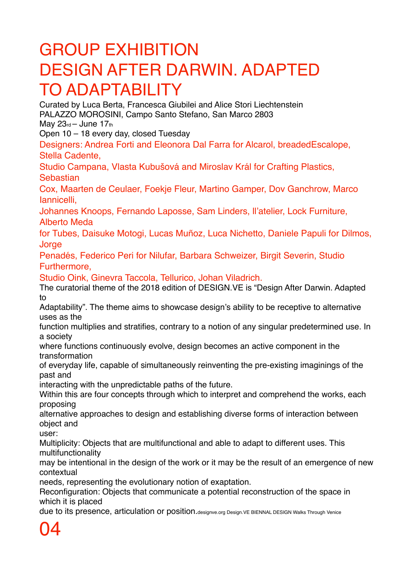## GROUP EXHIBITION DESIGN AFTER DARWIN. ADAPTED TO ADAPTABILITY

Curated by Luca Berta, Francesca Giubilei and Alice Stori Liechtenstein PALAZZO MOROSINI, Campo Santo Stefano, San Marco 2803 May  $23<sub>rd</sub> - June 17<sub>th</sub>$ 

Open 10 – 18 every day, closed Tuesday

Designers: Andrea Forti and Eleonora Dal Farra for Alcarol, breadedEscalope, Stella Cadente,

Studio Campana, Vlasta Kubušová and Miroslav Král for Crafting Plastics, **Sebastian** 

Cox, Maarten de Ceulaer, Foekje Fleur, Martino Gamper, Dov Ganchrow, Marco Iannicelli,

Johannes Knoops, Fernando Laposse, Sam Linders, ll'atelier, Lock Furniture, Alberto Meda

for Tubes, Daisuke Motogi, Lucas Muñoz, Luca Nichetto, Daniele Papuli for Dilmos, **Jorge** 

Penadés, Federico Peri for Nilufar, Barbara Schweizer, Birgit Severin, Studio Furthermore,

Studio Oink, Ginevra Taccola, Tellurico, Johan Viladrich.

The curatorial theme of the 2018 edition of DESIGN.VE is "Design After Darwin. Adapted to

Adaptability". The theme aims to showcase design's ability to be receptive to alternative uses as the

function multiplies and stratifies, contrary to a notion of any singular predetermined use. In a society

where functions continuously evolve, design becomes an active component in the transformation

of everyday life, capable of simultaneously reinventing the pre-existing imaginings of the past and

interacting with the unpredictable paths of the future.

Within this are four concepts through which to interpret and comprehend the works, each proposing

alternative approaches to design and establishing diverse forms of interaction between object and

user:

Multiplicity: Objects that are multifunctional and able to adapt to different uses. This multifunctionality

may be intentional in the design of the work or it may be the result of an emergence of new contextual

needs, representing the evolutionary notion of exaptation.

Reconfiguration: Objects that communicate a potential reconstruction of the space in which it is placed

due to its presence, articulation or position.designve.org Design.VE BIENNAL DESIGN Walks Through Venice